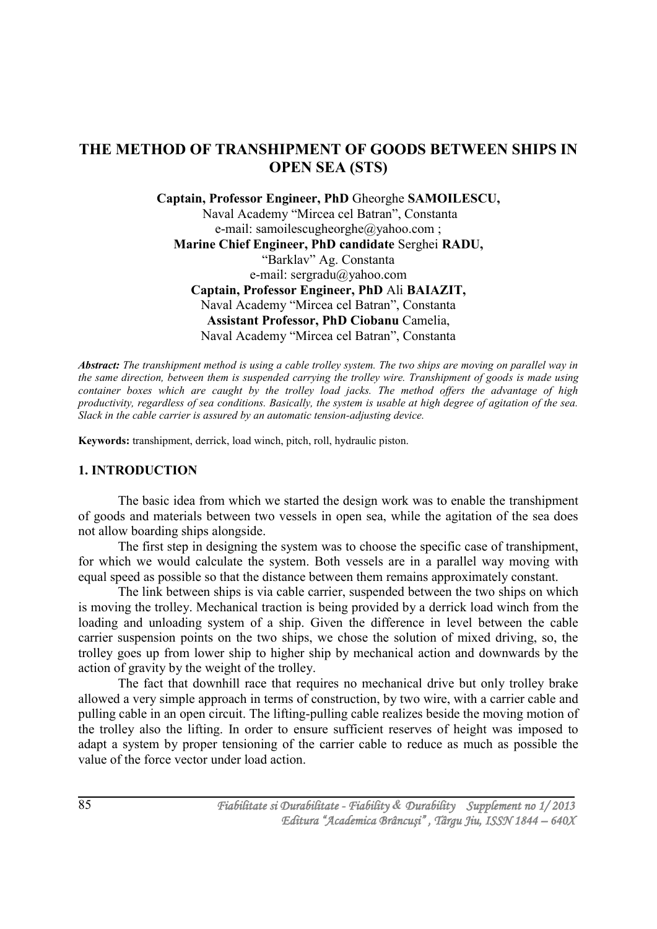# **THE METHOD OF TRANSHIPMENT OF GOODS BETWEEN SHIPS IN OPEN SEA (STS)**

**Captain, Professor Engineer, PhD** Gheorghe **SAMOILESCU,** Naval Academy "Mircea cel Batran", Constanta e-mail: samoilescugheorghe@yahoo.com ; **Marine Chief Engineer, PhD candidate** Serghei **RADU,** "Barklav" Ag. Constanta e-mail: sergradu@yahoo.com **Captain, Professor Engineer, PhD** Ali **BAIAZIT,** Naval Academy "Mircea cel Batran", Constanta **Assistant Professor, PhD Ciobanu** Camelia, Naval Academy "Mircea cel Batran", Constanta

*Abstract: The transhipment method is using a cable trolley system. The two ships are moving on parallel way in the same direction, between them is suspended carrying the trolley wire. Transhipment of goods is made using container boxes which are caught by the trolley load jacks. The method offers the advantage of high productivity, regardless of sea conditions. Basically, the system is usable at high degree of agitation of the sea. Slack in the cable carrier is assured by an automatic tension-adjusting device.*

**Keywords:** transhipment, derrick, load winch, pitch, roll, hydraulic piston.

## **1. INTRODUCTION**

The basic idea from which we started the design work was to enable the transhipment of goods and materials between two vessels in open sea, while the agitation of the sea does not allow boarding ships alongside.

The first step in designing the system was to choose the specific case of transhipment, for which we would calculate the system. Both vessels are in a parallel way moving with equal speed as possible so that the distance between them remains approximately constant.

The link between ships is via cable carrier, suspended between the two ships on which is moving the trolley. Mechanical traction is being provided by a derrick load winch from the loading and unloading system of a ship. Given the difference in level between the cable carrier suspension points on the two ships, we chose the solution of mixed driving, so, the trolley goes up from lower ship to higher ship by mechanical action and downwards by the action of gravity by the weight of the trolley.

The fact that downhill race that requires no mechanical drive but only trolley brake allowed a very simple approach in terms of construction, by two wire, with a carrier cable and pulling cable in an open circuit. The lifting-pulling cable realizes beside the moving motion of the trolley also the lifting. In order to ensure sufficient reserves of height was imposed to adapt a system by proper tensioning of the carrier cable to reduce as much as possible the value of the force vector under load action.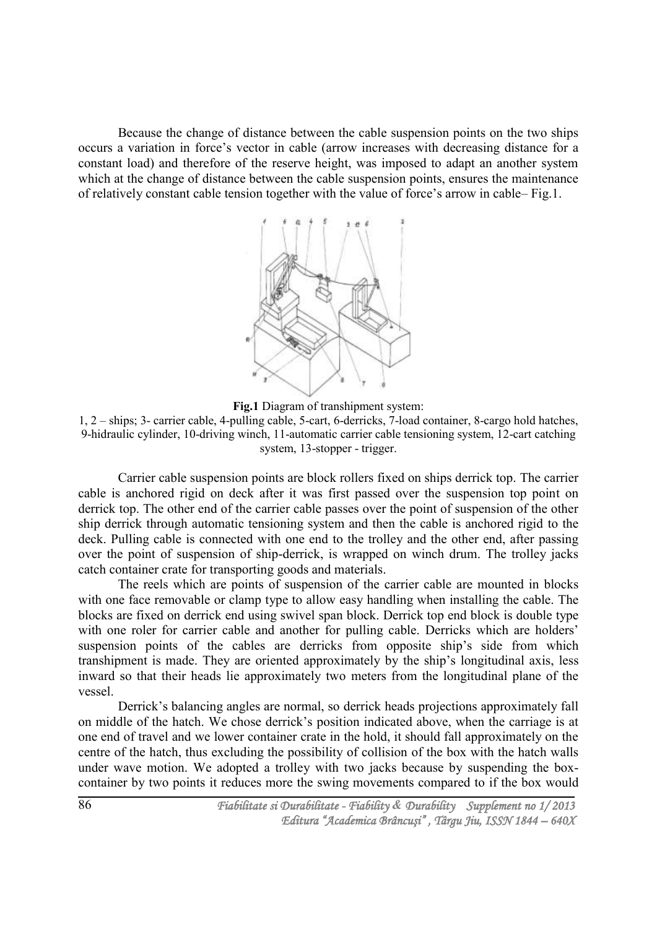Because the change of distance between the cable suspension points on the two ships occurs a variation in force's vector in cable (arrow increases with decreasing distance for a constant load) and therefore of the reserve height, was imposed to adapt an another system which at the change of distance between the cable suspension points, ensures the maintenance of relatively constant cable tension together with the value of force's arrow in cable– Fig.1.



**Fig.1** Diagram of transhipment system:

1, 2 – ships; 3- carrier cable, 4-pulling cable, 5-cart, 6-derricks, 7-load container, 8-cargo hold hatches, 9-hidraulic cylinder, 10-driving winch, 11-automatic carrier cable tensioning system, 12-cart catching system, 13-stopper - trigger.

Carrier cable suspension points are block rollers fixed on ships derrick top. The carrier cable is anchored rigid on deck after it was first passed over the suspension top point on derrick top. The other end of the carrier cable passes over the point of suspension of the other ship derrick through automatic tensioning system and then the cable is anchored rigid to the deck. Pulling cable is connected with one end to the trolley and the other end, after passing over the point of suspension of ship-derrick, is wrapped on winch drum. The trolley jacks catch container crate for transporting goods and materials.

The reels which are points of suspension of the carrier cable are mounted in blocks with one face removable or clamp type to allow easy handling when installing the cable. The blocks are fixed on derrick end using swivel span block. Derrick top end block is double type with one roler for carrier cable and another for pulling cable. Derricks which are holders' suspension points of the cables are derricks from opposite ship's side from which transhipment is made. They are oriented approximately by the ship's longitudinal axis, less inward so that their heads lie approximately two meters from the longitudinal plane of the vessel.

Derrick's balancing angles are normal, so derrick heads projections approximately fall on middle of the hatch. We chose derrick's position indicated above, when the carriage is at one end of travel and we lower container crate in the hold, it should fall approximately on the centre of the hatch, thus excluding the possibility of collision of the box with the hatch walls under wave motion. We adopted a trolley with two jacks because by suspending the boxcontainer by two points it reduces more the swing movements compared to if the box would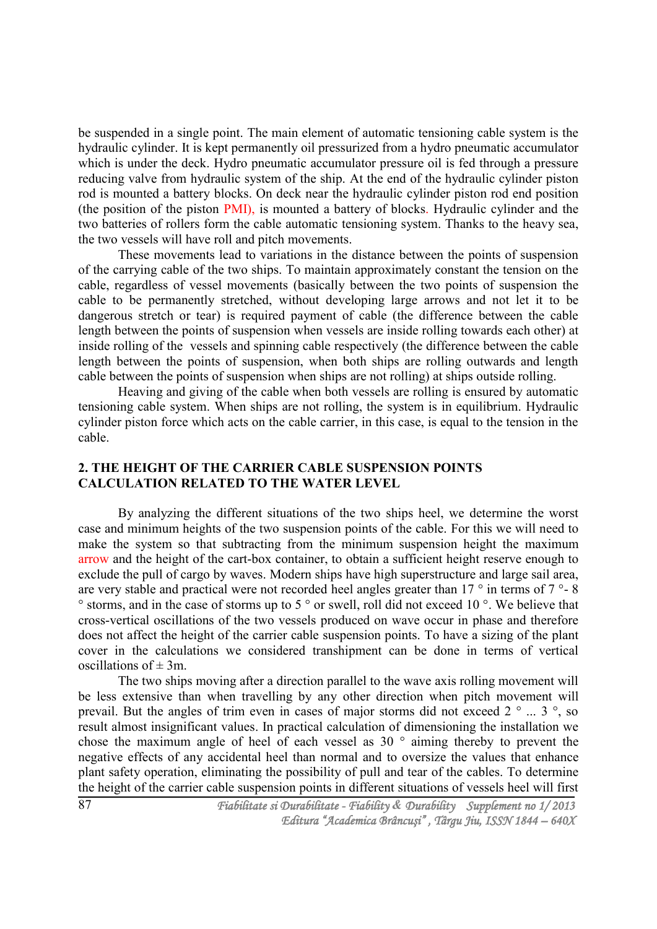be suspended in a single point. The main element of automatic tensioning cable system is the hydraulic cylinder. It is kept permanently oil pressurized from a hydro pneumatic accumulator which is under the deck. Hydro pneumatic accumulator pressure oil is fed through a pressure reducing valve from hydraulic system of the ship. At the end of the hydraulic cylinder piston rod is mounted a battery blocks. On deck near the hydraulic cylinder piston rod end position (the position of the piston PMI), is mounted a battery of blocks. Hydraulic cylinder and the two batteries of rollers form the cable automatic tensioning system. Thanks to the heavy sea, the two vessels will have roll and pitch movements.

These movements lead to variations in the distance between the points of suspension of the carrying cable of the two ships. To maintain approximately constant the tension on the cable, regardless of vessel movements (basically between the two points of suspension the cable to be permanently stretched, without developing large arrows and not let it to be dangerous stretch or tear) is required payment of cable (the difference between the cable length between the points of suspension when vessels are inside rolling towards each other) at inside rolling of the vessels and spinning cable respectively (the difference between the cable length between the points of suspension, when both ships are rolling outwards and length cable between the points of suspension when ships are not rolling) at ships outside rolling.

Heaving and giving of the cable when both vessels are rolling is ensured by automatic tensioning cable system. When ships are not rolling, the system is in equilibrium. Hydraulic cylinder piston force which acts on the cable carrier, in this case, is equal to the tension in the cable.

## **2. THE HEIGHT OF THE CARRIER CABLE SUSPENSION POINTS CALCULATION RELATED TO THE WATER LEVEL**

By analyzing the different situations of the two ships heel, we determine the worst case and minimum heights of the two suspension points of the cable. For this we will need to make the system so that subtracting from the minimum suspension height the maximum arrow and the height of the cart-box container, to obtain a sufficient height reserve enough to exclude the pull of cargo by waves. Modern ships have high superstructure and large sail area, are very stable and practical were not recorded heel angles greater than  $17 \degree$  in terms of  $7 \degree$ -8 ° storms, and in the case of storms up to 5 ° or swell, roll did not exceed 10 °. We believe that cross-vertical oscillations of the two vessels produced on wave occur in phase and therefore does not affect the height of the carrier cable suspension points. To have a sizing of the plant cover in the calculations we considered transhipment can be done in terms of vertical oscillations of  $\pm$  3m.

The two ships moving after a direction parallel to the wave axis rolling movement will be less extensive than when travelling by any other direction when pitch movement will prevail. But the angles of trim even in cases of major storms did not exceed  $2^\circ$  ...  $3^\circ$ , so result almost insignificant values. In practical calculation of dimensioning the installation we chose the maximum angle of heel of each vessel as 30 ° aiming thereby to prevent the negative effects of any accidental heel than normal and to oversize the values that enhance plant safety operation, eliminating the possibility of pull and tear of the cables. To determine the height of the carrier cable suspension points in different situations of vessels heel will first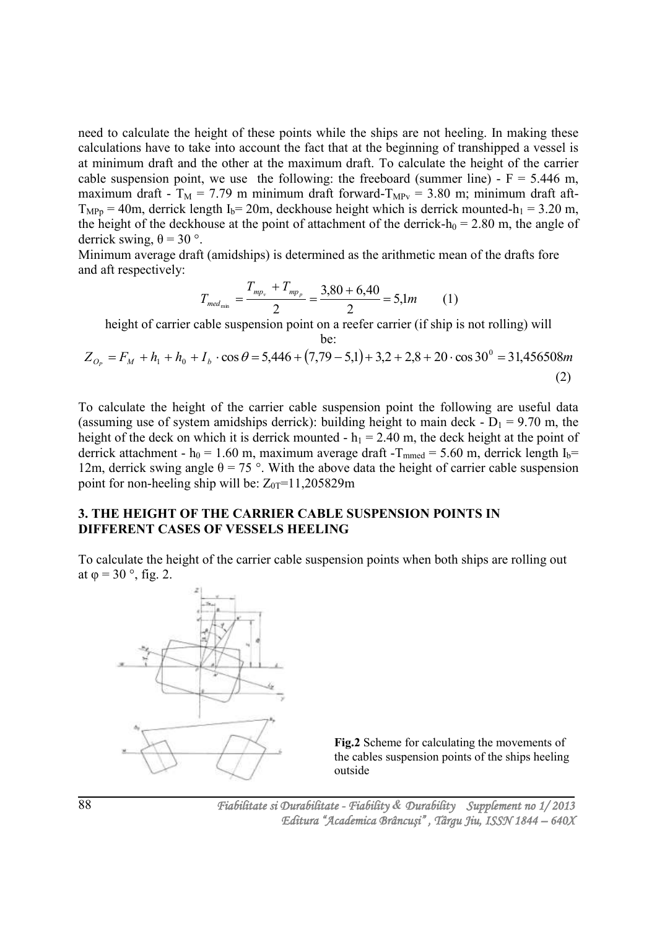need to calculate the height of these points while the ships are not heeling. In making these calculations have to take into account the fact that at the beginning of transhipped a vessel is at minimum draft and the other at the maximum draft. To calculate the height of the carrier cable suspension point, we use the following: the freeboard (summer line) -  $F = 5.446$  m, maximum draft -  $T_M = 7.79$  m minimum draft forward- $T_{MPV} = 3.80$  m; minimum draft aft- $T<sub>MPp</sub> = 40m$ , derrick length I<sub>b</sub>= 20m, deckhouse height which is derrick mounted-h<sub>1</sub> = 3.20 m, the height of the deckhouse at the point of attachment of the derrick-h<sub>0</sub> = 2.80 m, the angle of derrick swing,  $θ = 30$ °.

Minimum average draft (amidships) is determined as the arithmetic mean of the drafts fore and aft respectively:

$$
T_{\text{med}_{\min}} = \frac{T_{\text{mp}_v} + T_{\text{mp}_p}}{2} = \frac{3,80 + 6,40}{2} = 5,1m \tag{1}
$$

height of carrier cable suspension point on a reefer carrier (if ship is not rolling) will be:

$$
Z_{O_P} = F_M + h_1 + h_0 + I_b \cdot \cos \theta = 5,446 + (7,79 - 5,1) + 3,2 + 2,8 + 20 \cdot \cos 30^\circ = 31,456508m
$$
\n(2)

To calculate the height of the carrier cable suspension point the following are useful data (assuming use of system amidships derrick): building height to main deck -  $D_1 = 9.70$  m, the height of the deck on which it is derrick mounted -  $h_1 = 2.40$  m, the deck height at the point of derrick attachment - h<sub>0</sub> = 1.60 m, maximum average draft -T<sub>mmed</sub> = 5.60 m, derrick length I<sub>b</sub>= 12m, derrick swing angle  $\theta = 75$  °. With the above data the height of carrier cable suspension point for non-heeling ship will be:  $Z_{0T}$ =11,205829m

## **3. THE HEIGHT OF THE CARRIER CABLE SUSPENSION POINTS IN DIFFERENT CASES OF VESSELS HEELING**

To calculate the height of the carrier cable suspension points when both ships are rolling out at  $\varphi = 30^\circ$ , fig. 2.



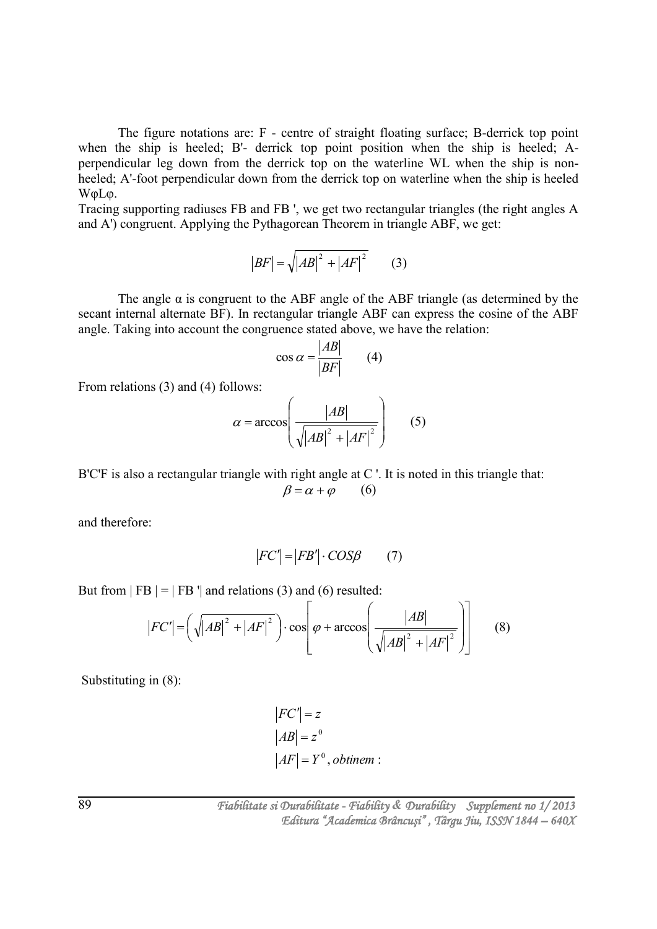The figure notations are: F - centre of straight floating surface; B-derrick top point when the ship is heeled; B'- derrick top point position when the ship is heeled; Aperpendicular leg down from the derrick top on the waterline WL when the ship is nonheeled; A'-foot perpendicular down from the derrick top on waterline when the ship is heeled WφLφ.

Tracing supporting radiuses FB and FB ', we get two rectangular triangles (the right angles A and A') congruent. Applying the Pythagorean Theorem in triangle ABF, we get:

$$
|BF| = \sqrt{|AB|^2 + |AF|^2} \qquad (3)
$$

The angle  $\alpha$  is congruent to the ABF angle of the ABF triangle (as determined by the secant internal alternate BF). In rectangular triangle ABF can express the cosine of the ABF angle. Taking into account the congruence stated above, we have the relation:

$$
\cos \alpha = \frac{|AB|}{|BF|} \qquad (4)
$$

From relations (3) and (4) follows:

$$
\alpha = \arccos\left(\frac{|AB|}{\sqrt{|AB|^2 + |AF|^2}}\right) \qquad (5)
$$

B'C'F is also a rectangular triangle with right angle at C'. It is noted in this triangle that:  $\beta = \alpha + \varphi$  (6)

and therefore:

$$
|FC'| = |FB'| \cdot COS\beta \qquad (7)
$$

But from  $|FB| = |FB'|$  and relations (3) and (6) resulted:

$$
|FC'| = \left(\sqrt{|AB|^2 + |AF|^2}\right) \cdot \cos\left(\varphi + \arccos\left(\frac{|AB|}{\sqrt{|AB|^2 + |AF|^2}}\right)\right) \tag{8}
$$

Substituting in (8):

$$
|FC'| = z
$$
  
\n
$$
|AB| = z^0
$$
  
\n
$$
|AF| = Y^0, \text{obtinem :}
$$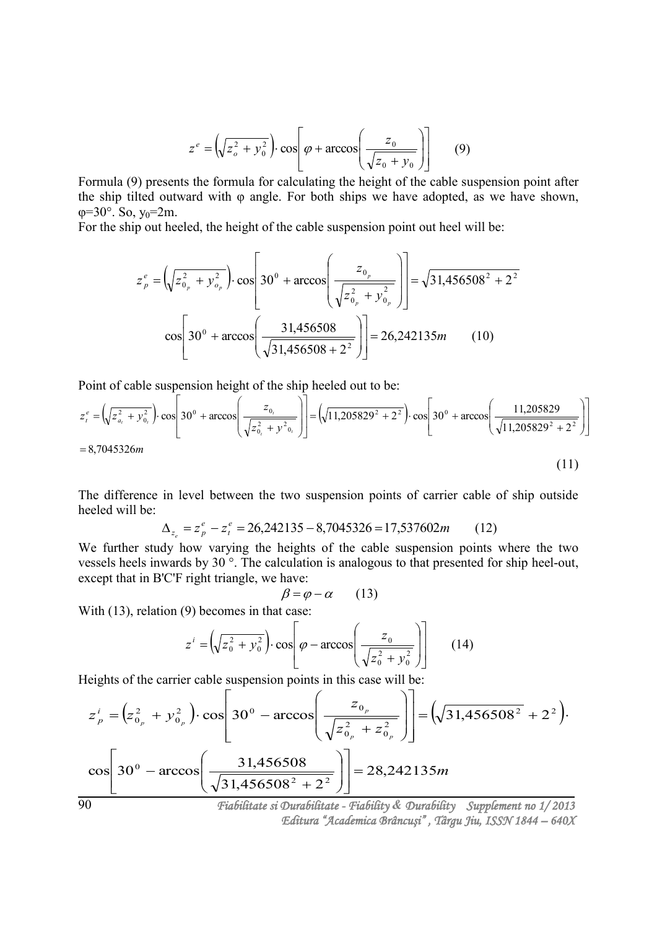$$
z^{e} = \left(\sqrt{z_o^2 + y_o^2}\right) \cdot \cos\left[\varphi + \arccos\left(\frac{z_o}{\sqrt{z_o + y_o}}\right)\right] \tag{9}
$$

Formula (9) presents the formula for calculating the height of the cable suspension point after the ship tilted outward with φ angle. For both ships we have adopted, as we have shown,  $\varphi = 30^\circ$ . So, y<sub>0</sub>=2m.

For the ship out heeled, the height of the cable suspension point out heel will be:

$$
z_{p}^{e} = \left(\sqrt{z_{0_{p}}^{2} + y_{0_{p}}^{2}}\right) \cdot \cos\left[30^{0} + \arccos\left(\frac{z_{0_{p}}}{\sqrt{z_{0_{p}}^{2} + y_{0_{p}}^{2}}}\right)\right] = \sqrt{31,456508^{2} + 2^{2}}
$$

$$
\cos\left[30^{0} + \arccos\left(\frac{31,456508}{\sqrt{31,456508 + 2^{2}}}\right)\right] = 26,242135m \qquad (10)
$$

Point of cable suspension height of the ship heeled out to be:

$$
z_t^e = \left(\sqrt{z_{a_t}^2 + y_{0_t}^2}\right) \cdot \cos\left[30^\circ + \arccos\left(\frac{z_{0_t}}{\sqrt{z_{0_t}^2 + y_{0_t}^2}}\right)\right] = \left(\sqrt{11,205829^2 + 2^2}\right) \cdot \cos\left[30^\circ + \arccos\left(\frac{11,205829}{\sqrt{11,205829^2 + 2^2}}\right)\right]
$$
  
= 8,7045326*m* (11)

The difference in level between the two suspension points of carrier cable of ship outside heeled will be:

$$
\Delta_{z_e} = z_p^e - z_t^e = 26,242135 - 8,7045326 = 17,537602m \tag{12}
$$

We further study how varying the heights of the cable suspension points where the two vessels heels inwards by 30 °. The calculation is analogous to that presented for ship heel-out, except that in B'C'F right triangle, we have:

$$
\beta = \varphi - \alpha \qquad (13)
$$

With (13), relation (9) becomes in that case:

$$
z^{i} = \left(\sqrt{z_0^2 + y_0^2}\right) \cdot \cos\left(\frac{z_0}{\sqrt{z_0^2 + y_0^2}}\right) \qquad (14)
$$

Heights of the carrier cable suspension points in this case will be:

$$
z_p^i = (z_{0_p}^2 + y_{0_p}^2) \cdot \cos \left[ 30^\circ - \arccos \left( \frac{z_{0_p}}{\sqrt{z_{0_p}^2 + z_{0_p}^2}} \right) \right] = (\sqrt{31,456508^2} + 2^2).
$$
  

$$
\cos \left[ 30^\circ - \arccos \left( \frac{31,456508}{\sqrt{31,456508^2 + 2^2}} \right) \right] = 28,242135m
$$
  

$$
\frac{\pi}{600} = \frac{31,456508}{\pi}
$$

*Editura "Academica Brâncuşi" , Târgu Jiu, ISSN 1844 – 640X*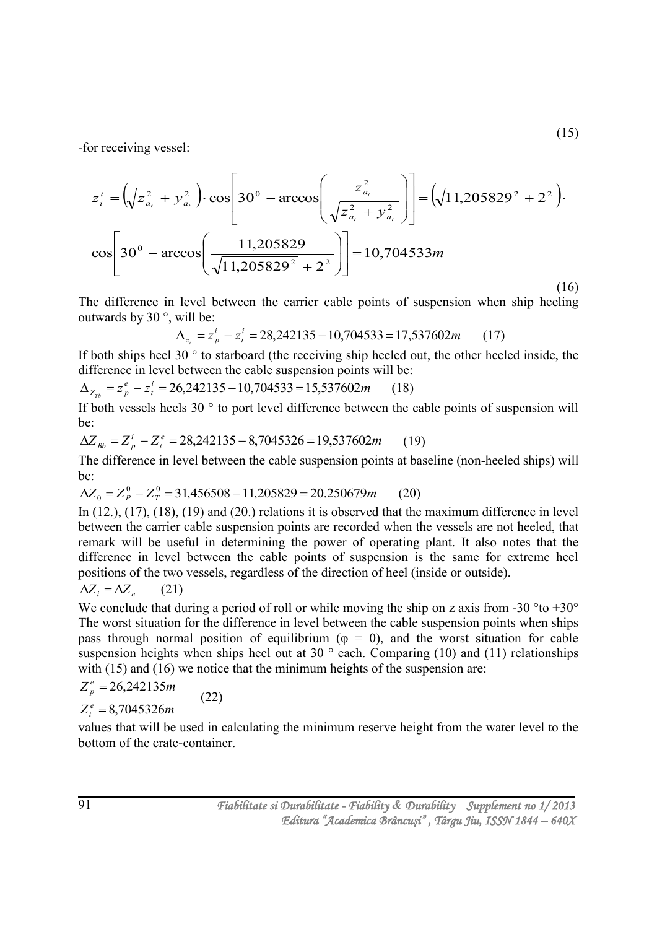-for receiving vessel:

$$
z_{i}^{t} = \left(\sqrt{z_{a_{t}}^{2} + y_{a_{t}}^{2}}\right) \cdot \cos\left[30^{\circ} - \arccos\left(\frac{z_{a_{t}}^{2}}{\sqrt{z_{a_{t}}^{2} + y_{a_{t}}^{2}}}\right)\right] = \left(\sqrt{11,205829^{2} + 2^{2}}\right).
$$

$$
\cos\left[30^{\circ} - \arccos\left(\frac{11,205829}{\sqrt{11,205829^{2}} + 2^{2}}\right)\right] = 10,704533m
$$
\n(16)

The difference in level between the carrier cable points of suspension when ship heeling outwards by 30 °, will be:

$$
\Delta_{z_i} = z_p^i - z_i^i = 28,242135 - 10,704533 = 17,537602m \tag{17}
$$

If both ships heel 30 ° to starboard (the receiving ship heeled out, the other heeled inside, the difference in level between the cable suspension points will be:

$$
\Delta_{Z_{7b}} = z_p^e - z_t^i = 26,242135 - 10,704533 = 15,537602m \tag{18}
$$

If both vessels heels 30 ° to port level difference between the cable points of suspension will be:

$$
\Delta Z_{Bb} = Z_p^i - Z_t^e = 28,242135 - 8,7045326 = 19,537602m \tag{19}
$$

The difference in level between the cable suspension points at baseline (non-heeled ships) will be:

$$
\Delta Z_0 = Z_P^0 - Z_T^0 = 31,456508 - 11,205829 = 20.250679m \tag{20}
$$

(22)

In (12.), (17), (18), (19) and (20.) relations it is observed that the maximum difference in level between the carrier cable suspension points are recorded when the vessels are not heeled, that remark will be useful in determining the power of operating plant. It also notes that the difference in level between the cable points of suspension is the same for extreme heel positions of the two vessels, regardless of the direction of heel (inside or outside).

$$
\Delta Z_i = \Delta Z_e \qquad (21)
$$

We conclude that during a period of roll or while moving the ship on z axis from -30  $^{\circ}$  to +30 $^{\circ}$ The worst situation for the difference in level between the cable suspension points when ships pass through normal position of equilibrium ( $\varphi = 0$ ), and the worst situation for cable suspension heights when ships heel out at 30 $\degree$  each. Comparing (10) and (11) relationships with (15) and (16) we notice that the minimum heights of the suspension are:

$$
Z_p^e = 26{,}242135m
$$

$$
Z_t^e=8,7045326m
$$

values that will be used in calculating the minimum reserve height from the water level to the bottom of the crate-container.